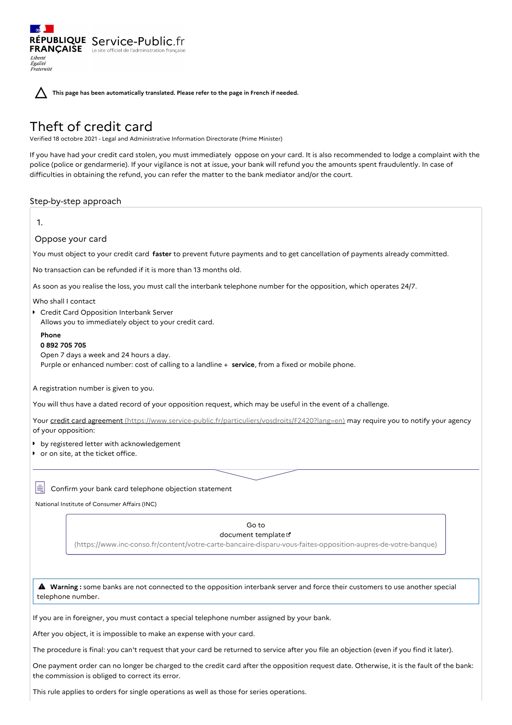$\sim$ RÉPUBLIQUE Service-Public.fr **FRANÇAISE** Le site officiel de l'administration française Liberté<br>Égalité<br>Fraternité

**This page has been automatically translated. Please refer to the page in French if needed.**

# Theft of credit card

Verified 18 octobre 2021 - Legal and Administrative Information Directorate (Prime Minister)

If you have had your credit card stolen, you must immediately oppose on your card. It is also recommended to lodge a complaint with the police (police or gendarmerie). If your vigilance is not at issue, your bank will refund you the amounts spent fraudulently. In case of difficulties in obtaining the refund, you can refer the matter to the bank mediator and/or the court.

Step-by-step approach

| 1.                                                                                                                                                                                                                                                                                            |
|-----------------------------------------------------------------------------------------------------------------------------------------------------------------------------------------------------------------------------------------------------------------------------------------------|
| Oppose your card                                                                                                                                                                                                                                                                              |
| You must object to your credit card faster to prevent future payments and to get cancellation of payments already committed.                                                                                                                                                                  |
| No transaction can be refunded if it is more than 13 months old.                                                                                                                                                                                                                              |
| As soon as you realise the loss, you must call the interbank telephone number for the opposition, which operates 24/7.                                                                                                                                                                        |
| Who shall I contact<br>Credit Card Opposition Interbank Server<br>Allows you to immediately object to your credit card.<br>Phone<br>0892705705<br>Open 7 days a week and 24 hours a day.<br>Purple or enhanced number: cost of calling to a landline + service, from a fixed or mobile phone. |
|                                                                                                                                                                                                                                                                                               |
| A registration number is given to you.                                                                                                                                                                                                                                                        |
| You will thus have a dated record of your opposition request, which may be useful in the event of a challenge.                                                                                                                                                                                |
| Your credit card agreement (https://www.service-public.fr/particuliers/vosdroits/F2420?lang=en) may require you to notify your agency<br>of your opposition:                                                                                                                                  |
| • by registered letter with acknowledgement                                                                                                                                                                                                                                                   |
| or on site, at the ticket office.                                                                                                                                                                                                                                                             |
| Iŧ<br>Confirm your bank card telephone objection statement                                                                                                                                                                                                                                    |
| National Institute of Consumer Affairs (INC)                                                                                                                                                                                                                                                  |
|                                                                                                                                                                                                                                                                                               |
| Go to<br>document template L'                                                                                                                                                                                                                                                                 |
| (https://www.inc-conso.fr/content/votre-carte-bancaire-disparu-vous-faites-opposition-aupres-de-votre-banque)                                                                                                                                                                                 |
|                                                                                                                                                                                                                                                                                               |
| A Warning: some banks are not connected to the opposition interbank server and force their customers to use another special<br>telephone number.                                                                                                                                              |
| If you are in foreigner, you must contact a special telephone number assigned by your bank.                                                                                                                                                                                                   |
| After you object, it is impossible to make an expense with your card.                                                                                                                                                                                                                         |
| The procedure is final: you can't request that your card be returned to service after you file an objection (even if you find it later).                                                                                                                                                      |
| One payment order can no longer be charged to the credit card after the opposition request date. Otherwise, it is the fault of the bank:<br>the commission is obliged to correct its error.                                                                                                   |

This rule applies to orders for single operations as well as those for series operations.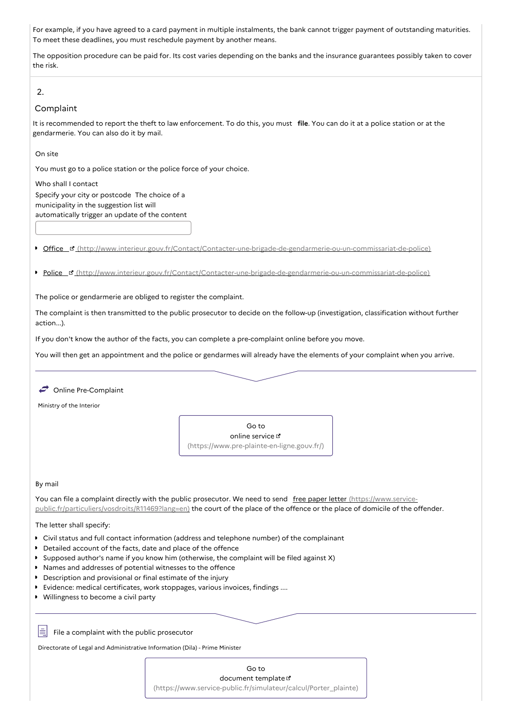For example, if you have agreed to a card payment in multiple instalments, the bank cannot trigger payment of outstanding maturities. To meet these deadlines, you must reschedule payment by another means.

The opposition procedure can be paid for. Its cost varies depending on the banks and the insurance guarantees possibly taken to cover the risk.

# 2.

## Complaint

It is recommended to report the theft to law enforcement. To do this, you must **file**. You can do it at a police station or at the gendarmerie. You can also do it by mail.

On site

You must go to a police station or the police force of your choice.

Who shall I contact Specify your city or postcode The choice of a municipality in the suggestion list will automatically trigger an update of the content

 $\bullet$ Office [\(http://www.interieur.gouv.fr/Contact/Contacter-une-brigade-de-gendarmerie-ou-un-commissariat-de-police\)](http://www.interieur.gouv.fr/Contact/Contacter-une-brigade-de-gendarmerie-ou-un-commissariat-de-police)

Police & [\(http://www.interieur.gouv.fr/Contact/Contacter-une-brigade-de-gendarmerie-ou-un-commissariat-de-police\)](http://www.interieur.gouv.fr/Contact/Contacter-une-brigade-de-gendarmerie-ou-un-commissariat-de-police)

The police or gendarmerie are obliged to register the complaint.

The complaint is then transmitted to the public prosecutor to decide on the follow-up (investigation, classification without further action...).

If you don't know the author of the facts, you can complete a pre-complaint online before you move.

You will then get an appointment and the police or gendarmes will already have the elements of your complaint when you arrive.

Online Pre-Complaint

Ministry of the Interior



## By mail

Ħ

You can file a complaint directly with the public prosecutor. We need to send free paper letter (https://www.service[public.fr/particuliers/vosdroits/R11469?lang=en\)](https://www.service-public.fr/particuliers/vosdroits/R11469?lang=en) the court of the place of the offence or the place of domicile of the offender.

#### The letter shall specify:

- Civil status and full contact information (address and telephone number) of the complainant
- Detailed account of the facts, date and place of the offence
- Supposed author's name if you know him (otherwise, the complaint will be filed against X)
- Names and addresses of potential witnesses to the offence
- **Description and provisional or final estimate of the injury**
- Evidence: medical certificates, work stoppages, various invoices, findings ....
- Willingness to become a civil party

File a complaint with the public prosecutor

Directorate of Legal and Administrative Information (Dila) - Prime Minister

Go to document template [\(https://www.service-public.fr/simulateur/calcul/Porter\\_plainte\)](https://www.service-public.fr/simulateur/calcul/Porter_plainte)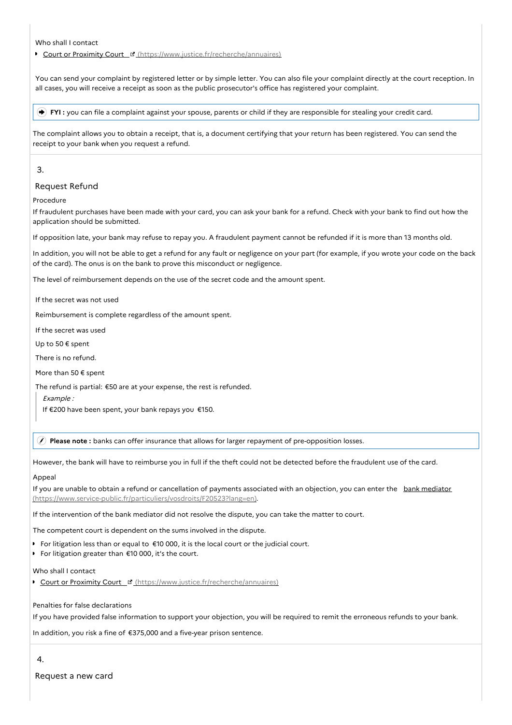Who shall I contact

Court or Proximity Court E [\(https://www.justice.fr/recherche/annuaires\)](https://www.justice.fr/recherche/annuaires)

You can send your complaint by registered letter or by simple letter. You can also file your complaint directly at the court reception. In all cases, you will receive a receipt as soon as the public prosecutor's office has registered your complaint.

**FYI :** you can file a complaint against your spouse, parents or child if they are responsible for stealing your credit card.

The complaint allows you to obtain a receipt, that is, a document certifying that your return has been registered. You can send the receipt to your bank when you request a refund.

# 3.

# Request Refund

## Procedure

If fraudulent purchases have been made with your card, you can ask your bank for a refund. Check with your bank to find out how the application should be submitted.

If opposition late, your bank may refuse to repay you. A fraudulent payment cannot be refunded if it is more than 13 months old.

In addition, you will not be able to get a refund for any fault or negligence on your part (for example, if you wrote your code on the back of the card). The onus is on the bank to prove this misconduct or negligence.

The level of reimbursement depends on the use of the secret code and the amount spent.

If the secret was not used

Reimbursement is complete regardless of the amount spent.

If the secret was used

Up to 50 € spent

There is no refund.

More than 50 € spent

The refund is partial: €50 are at your expense, the rest is refunded.

Example :

If €200 have been spent, your bank repays you €150.

**Please note :** banks can offer insurance that allows for larger repayment of pre-opposition losses.

However, the bank will have to reimburse you in full if the theft could not be detected before the fraudulent use of the card.

#### Appeal

If you are unable to obtain a refund or cancellation of payments associated with an objection, you can enter the bank mediator [\(https://www.service-public.fr/particuliers/vosdroits/F20523?lang=en\).](https://www.service-public.fr/particuliers/vosdroits/F20523?lang=en)

If the intervention of the bank mediator did not resolve the dispute, you can take the matter to court.

The competent court is dependent on the sums involved in the dispute.

For litigation less than or equal to  $\epsilon$ 10 000, it is the local court or the judicial court.

For litigation greater than €10 000, it's the court.

Who shall I contact

Court or Proximity Court E [\(https://www.justice.fr/recherche/annuaires\)](https://www.justice.fr/recherche/annuaires)

Penalties for false declarations

If you have provided false information to support your objection, you will be required to remit the erroneous refunds to your bank.

In addition, you risk a fine of €375,000 and a five-year prison sentence.

4.

Request a new card